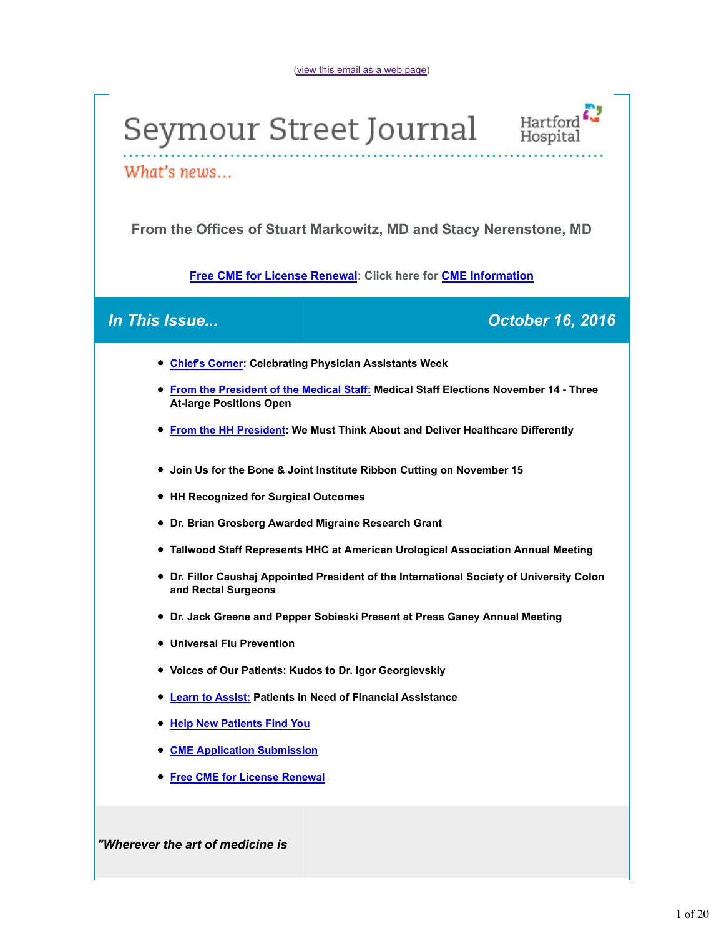# Seymour Street Journal Hartford



What's news...

**From the Offices of Stuart Markowitz, MD and Stacy Nerenstone, MD**

**Free CME for License Renewal: Click here for CME Information**

## *In This Issue... October 16, 2016*

- **Chief's Corner: Celebrating Physician Assistants Week**
- **From the President of the Medical Staff: Medical Staff Elections November 14 Three At-large Positions Open**
- **From the HH President: We Must Think About and Deliver Healthcare Differently**
- **Join Us for the Bone & Joint Institute Ribbon Cutting on November 15**
- **HH Recognized for Surgical Outcomes**
- **Dr. Brian Grosberg Awarded Migraine Research Grant**
- **Tallwood Staff Represents HHC at American Urological Association Annual Meeting**
- **Dr. Fillor Caushaj Appointed President of the International Society of University Colon and Rectal Surgeons**
- **Dr. Jack Greene and Pepper Sobieski Present at Press Ganey Annual Meeting**
- **Universal Flu Prevention**
- **Voices of Our Patients: Kudos to Dr. Igor Georgievskiy**
- **Learn to Assist: Patients in Need of Financial Assistance**
- **Help New Patients Find You**
- **CME Application Submission**
- **Free CME for License Renewal**

*"Wherever the art of medicine is*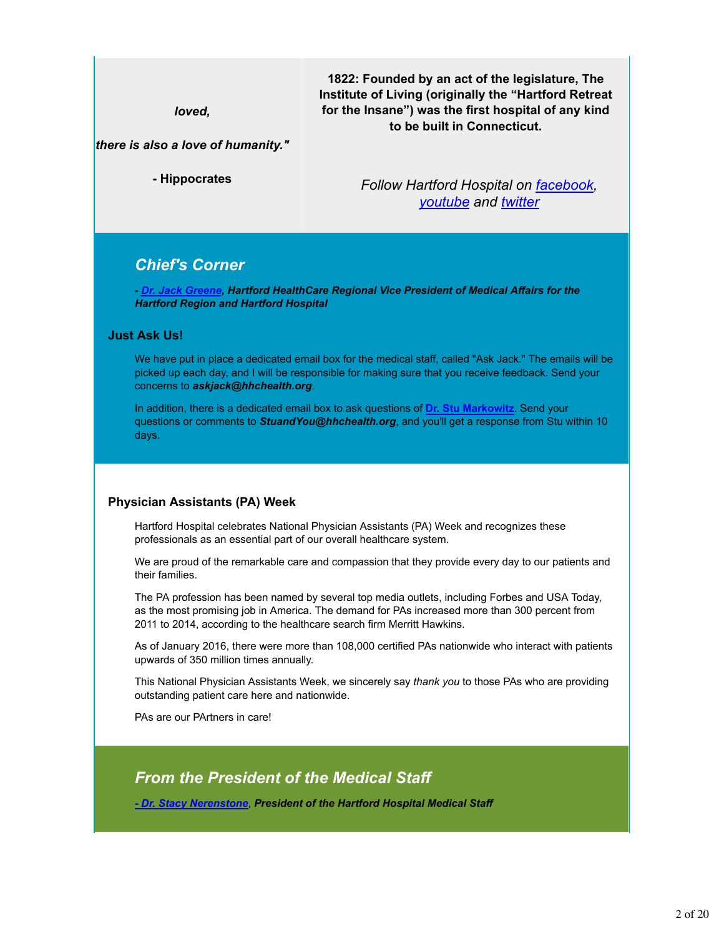*loved,*

**1822: Founded by an act of the legislature, The Institute of Living (originally the "Hartford Retreat for the Insane") was the first hospital of any kind to be built in Connecticut.**

#### *there is also a love of humanity."*

**- Hippocrates**

*Follow Hartford Hospital on facebook, youtube and twitter*

## *Chief's Corner*

*- Dr. Jack Greene, Hartford HealthCare Regional Vice President of Medical Affairs for the Hartford Region and Hartford Hospital*

#### **Just Ask Us!**

We have put in place a dedicated email box for the medical staff, called "Ask Jack." The emails will be picked up each day, and I will be responsible for making sure that you receive feedback. Send your concerns to *askjack@hhchealth.org*.

In addition, there is a dedicated email box to ask questions of **Dr. Stu Markowitz**. Send your questions or comments to *StuandYou@hhchealth.org*, and you'll get a response from Stu within 10 days.

#### **Physician Assistants (PA) Week**

Hartford Hospital celebrates National Physician Assistants (PA) Week and recognizes these professionals as an essential part of our overall healthcare system.

We are proud of the remarkable care and compassion that they provide every day to our patients and their families.

The PA profession has been named by several top media outlets, including Forbes and USA Today, as the most promising job in America. The demand for PAs increased more than 300 percent from 2011 to 2014, according to the healthcare search firm Merritt Hawkins.

As of January 2016, there were more than 108,000 certified PAs nationwide who interact with patients upwards of 350 million times annually.

This National Physician Assistants Week, we sincerely say *thank you* to those PAs who are providing outstanding patient care here and nationwide.

PAs are our PArtners in care!

## *From the President of the Medical Staff*

*- Dr. Stacy Nerenstone*, *President of the Hartford Hospital Medical Staff*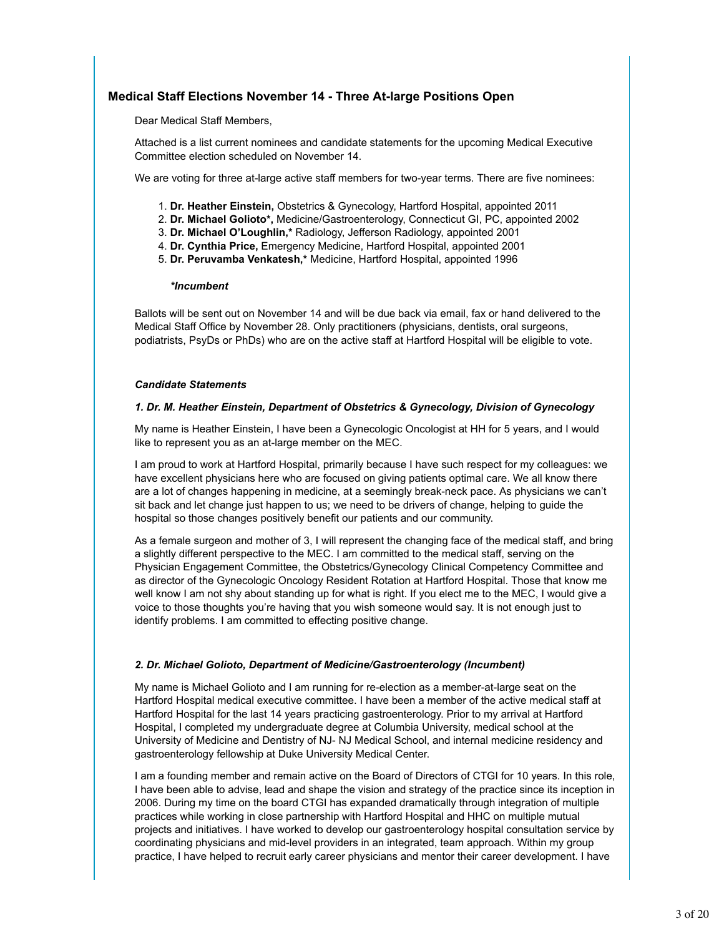#### **Medical Staff Elections November 14 - Three At-large Positions Open**

Dear Medical Staff Members,

Attached is a list current nominees and candidate statements for the upcoming Medical Executive Committee election scheduled on November 14.

We are voting for three at-large active staff members for two-year terms. There are five nominees:

- 1. **Dr. Heather Einstein,** Obstetrics & Gynecology, Hartford Hospital, appointed 2011
- 2. **Dr. Michael Golioto\*,** Medicine/Gastroenterology, Connecticut GI, PC, appointed 2002
- 3. **Dr. Michael O'Loughlin,\*** Radiology, Jefferson Radiology, appointed 2001
- 4. **Dr. Cynthia Price,** Emergency Medicine, Hartford Hospital, appointed 2001
- **Dr. Peruvamba Venkatesh,\*** Medicine, Hartford Hospital, appointed 1996 5.

#### *\*Incumbent*

Ballots will be sent out on November 14 and will be due back via email, fax or hand delivered to the Medical Staff Office by November 28. Only practitioners (physicians, dentists, oral surgeons, podiatrists, PsyDs or PhDs) who are on the active staff at Hartford Hospital will be eligible to vote.

#### *Candidate Statements*

#### *1. Dr. M. Heather Einstein, Department of Obstetrics & Gynecology, Division of Gynecology*

My name is Heather Einstein, I have been a Gynecologic Oncologist at HH for 5 years, and I would like to represent you as an at-large member on the MEC.

I am proud to work at Hartford Hospital, primarily because I have such respect for my colleagues: we have excellent physicians here who are focused on giving patients optimal care. We all know there are a lot of changes happening in medicine, at a seemingly break-neck pace. As physicians we can't sit back and let change just happen to us; we need to be drivers of change, helping to guide the hospital so those changes positively benefit our patients and our community.

As a female surgeon and mother of 3, I will represent the changing face of the medical staff, and bring a slightly different perspective to the MEC. I am committed to the medical staff, serving on the Physician Engagement Committee, the Obstetrics/Gynecology Clinical Competency Committee and as director of the Gynecologic Oncology Resident Rotation at Hartford Hospital. Those that know me well know I am not shy about standing up for what is right. If you elect me to the MEC, I would give a voice to those thoughts you're having that you wish someone would say. It is not enough just to identify problems. I am committed to effecting positive change.

#### *2. Dr. Michael Golioto, Department of Medicine/Gastroenterology (Incumbent)*

My name is Michael Golioto and I am running for re-election as a member-at-large seat on the Hartford Hospital medical executive committee. I have been a member of the active medical staff at Hartford Hospital for the last 14 years practicing gastroenterology. Prior to my arrival at Hartford Hospital, I completed my undergraduate degree at Columbia University, medical school at the University of Medicine and Dentistry of NJ- NJ Medical School, and internal medicine residency and gastroenterology fellowship at Duke University Medical Center.

I am a founding member and remain active on the Board of Directors of CTGI for 10 years. In this role, I have been able to advise, lead and shape the vision and strategy of the practice since its inception in 2006. During my time on the board CTGI has expanded dramatically through integration of multiple practices while working in close partnership with Hartford Hospital and HHC on multiple mutual projects and initiatives. I have worked to develop our gastroenterology hospital consultation service by coordinating physicians and mid-level providers in an integrated, team approach. Within my group practice, I have helped to recruit early career physicians and mentor their career development. I have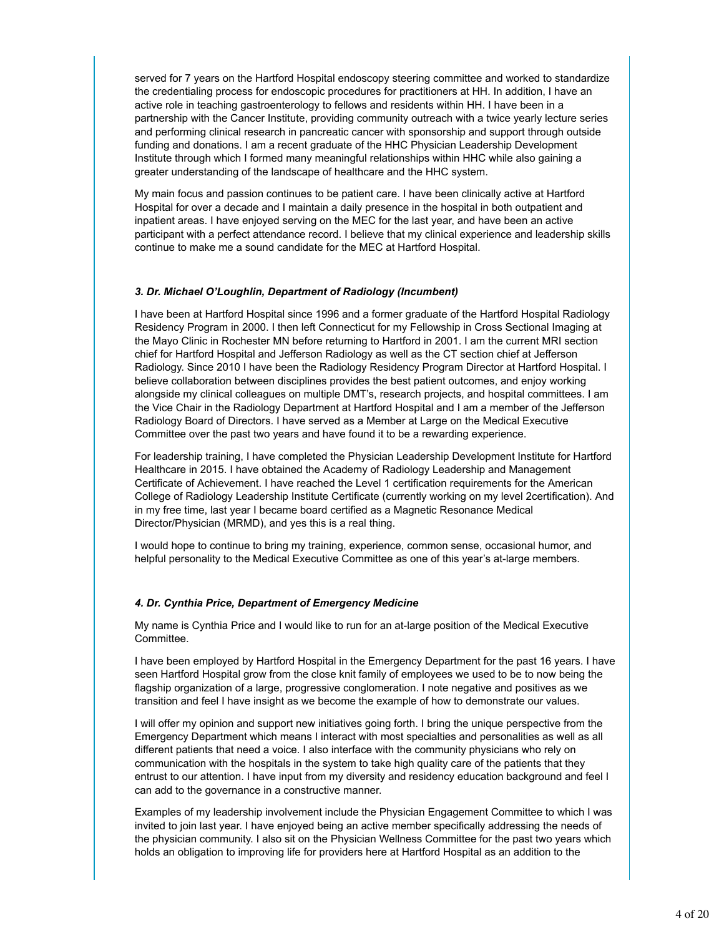served for 7 years on the Hartford Hospital endoscopy steering committee and worked to standardize the credentialing process for endoscopic procedures for practitioners at HH. In addition, I have an active role in teaching gastroenterology to fellows and residents within HH. I have been in a partnership with the Cancer Institute, providing community outreach with a twice yearly lecture series and performing clinical research in pancreatic cancer with sponsorship and support through outside funding and donations. I am a recent graduate of the HHC Physician Leadership Development Institute through which I formed many meaningful relationships within HHC while also gaining a greater understanding of the landscape of healthcare and the HHC system.

My main focus and passion continues to be patient care. I have been clinically active at Hartford Hospital for over a decade and I maintain a daily presence in the hospital in both outpatient and inpatient areas. I have enjoyed serving on the MEC for the last year, and have been an active participant with a perfect attendance record. I believe that my clinical experience and leadership skills continue to make me a sound candidate for the MEC at Hartford Hospital.

#### *3. Dr. Michael O'Loughlin, Department of Radiology (Incumbent)*

I have been at Hartford Hospital since 1996 and a former graduate of the Hartford Hospital Radiology Residency Program in 2000. I then left Connecticut for my Fellowship in Cross Sectional Imaging at the Mayo Clinic in Rochester MN before returning to Hartford in 2001. I am the current MRI section chief for Hartford Hospital and Jefferson Radiology as well as the CT section chief at Jefferson Radiology. Since 2010 I have been the Radiology Residency Program Director at Hartford Hospital. I believe collaboration between disciplines provides the best patient outcomes, and enjoy working alongside my clinical colleagues on multiple DMT's, research projects, and hospital committees. I am the Vice Chair in the Radiology Department at Hartford Hospital and I am a member of the Jefferson Radiology Board of Directors. I have served as a Member at Large on the Medical Executive Committee over the past two years and have found it to be a rewarding experience.

For leadership training, I have completed the Physician Leadership Development Institute for Hartford Healthcare in 2015. I have obtained the Academy of Radiology Leadership and Management Certificate of Achievement. I have reached the Level 1 certification requirements for the American College of Radiology Leadership Institute Certificate (currently working on my level 2certification). And in my free time, last year I became board certified as a Magnetic Resonance Medical Director/Physician (MRMD), and yes this is a real thing.

I would hope to continue to bring my training, experience, common sense, occasional humor, and helpful personality to the Medical Executive Committee as one of this year's at-large members.

#### *4. Dr. Cynthia Price, Department of Emergency Medicine*

My name is Cynthia Price and I would like to run for an at-large position of the Medical Executive Committee.

I have been employed by Hartford Hospital in the Emergency Department for the past 16 years. I have seen Hartford Hospital grow from the close knit family of employees we used to be to now being the flagship organization of a large, progressive conglomeration. I note negative and positives as we transition and feel I have insight as we become the example of how to demonstrate our values.

I will offer my opinion and support new initiatives going forth. I bring the unique perspective from the Emergency Department which means I interact with most specialties and personalities as well as all different patients that need a voice. I also interface with the community physicians who rely on communication with the hospitals in the system to take high quality care of the patients that they entrust to our attention. I have input from my diversity and residency education background and feel I can add to the governance in a constructive manner.

Examples of my leadership involvement include the Physician Engagement Committee to which I was invited to join last year. I have enjoyed being an active member specifically addressing the needs of the physician community. I also sit on the Physician Wellness Committee for the past two years which holds an obligation to improving life for providers here at Hartford Hospital as an addition to the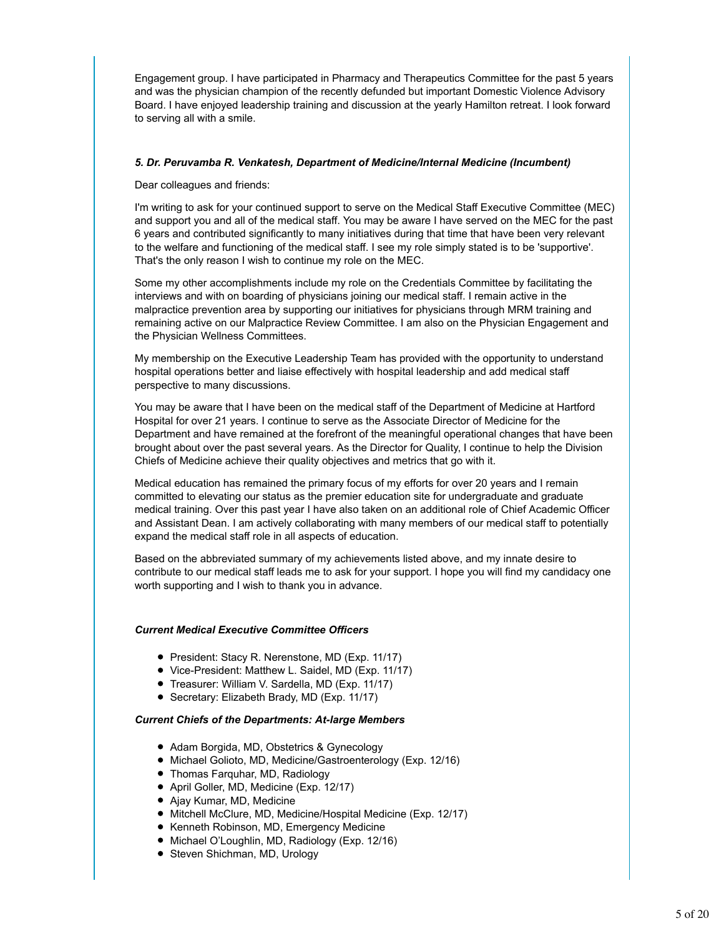Engagement group. I have participated in Pharmacy and Therapeutics Committee for the past 5 years and was the physician champion of the recently defunded but important Domestic Violence Advisory Board. I have enjoyed leadership training and discussion at the yearly Hamilton retreat. I look forward to serving all with a smile.

#### *5. Dr. Peruvamba R. Venkatesh, Department of Medicine/Internal Medicine (Incumbent)*

Dear colleagues and friends:

I'm writing to ask for your continued support to serve on the Medical Staff Executive Committee (MEC) and support you and all of the medical staff. You may be aware I have served on the MEC for the past 6 years and contributed significantly to many initiatives during that time that have been very relevant to the welfare and functioning of the medical staff. I see my role simply stated is to be 'supportive'. That's the only reason I wish to continue my role on the MEC.

Some my other accomplishments include my role on the Credentials Committee by facilitating the interviews and with on boarding of physicians joining our medical staff. I remain active in the malpractice prevention area by supporting our initiatives for physicians through MRM training and remaining active on our Malpractice Review Committee. I am also on the Physician Engagement and the Physician Wellness Committees.

My membership on the Executive Leadership Team has provided with the opportunity to understand hospital operations better and liaise effectively with hospital leadership and add medical staff perspective to many discussions.

You may be aware that I have been on the medical staff of the Department of Medicine at Hartford Hospital for over 21 years. I continue to serve as the Associate Director of Medicine for the Department and have remained at the forefront of the meaningful operational changes that have been brought about over the past several years. As the Director for Quality, I continue to help the Division Chiefs of Medicine achieve their quality objectives and metrics that go with it.

Medical education has remained the primary focus of my efforts for over 20 years and I remain committed to elevating our status as the premier education site for undergraduate and graduate medical training. Over this past year I have also taken on an additional role of Chief Academic Officer and Assistant Dean. I am actively collaborating with many members of our medical staff to potentially expand the medical staff role in all aspects of education.

Based on the abbreviated summary of my achievements listed above, and my innate desire to contribute to our medical staff leads me to ask for your support. I hope you will find my candidacy one worth supporting and I wish to thank you in advance.

#### *Current Medical Executive Committee Officers*

- President: Stacy R. Nerenstone, MD (Exp. 11/17)
- Vice-President: Matthew L. Saidel, MD (Exp. 11/17)
- Treasurer: William V. Sardella, MD (Exp. 11/17)
- Secretary: Elizabeth Brady, MD (Exp. 11/17)

#### *Current Chiefs of the Departments: At-large Members*

- Adam Borgida, MD, Obstetrics & Gynecology
- Michael Golioto, MD, Medicine/Gastroenterology (Exp. 12/16)
- Thomas Farquhar, MD, Radiology
- April Goller, MD, Medicine (Exp. 12/17)
- Ajay Kumar, MD, Medicine
- Mitchell McClure, MD, Medicine/Hospital Medicine (Exp. 12/17)
- Kenneth Robinson, MD, Emergency Medicine
- Michael O'Loughlin, MD, Radiology (Exp. 12/16)
- Steven Shichman, MD, Urology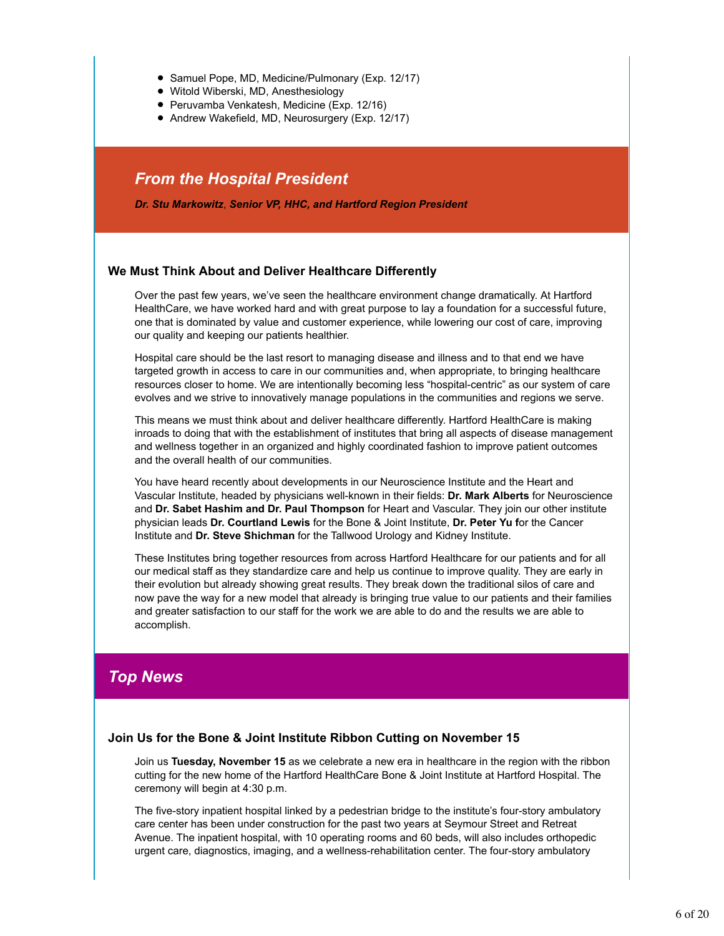- Samuel Pope, MD, Medicine/Pulmonary (Exp. 12/17)
- Witold Wiberski, MD, Anesthesiology
- Peruvamba Venkatesh, Medicine (Exp. 12/16)
- Andrew Wakefield, MD, Neurosurgery (Exp. 12/17)

## *From the Hospital President*

*Dr. Stu Markowitz*, *Senior VP, HHC, and Hartford Region President*

#### **We Must Think About and Deliver Healthcare Differently**

Over the past few years, we've seen the healthcare environment change dramatically. At Hartford HealthCare, we have worked hard and with great purpose to lay a foundation for a successful future, one that is dominated by value and customer experience, while lowering our cost of care, improving our quality and keeping our patients healthier.

Hospital care should be the last resort to managing disease and illness and to that end we have targeted growth in access to care in our communities and, when appropriate, to bringing healthcare resources closer to home. We are intentionally becoming less "hospital-centric" as our system of care evolves and we strive to innovatively manage populations in the communities and regions we serve.

This means we must think about and deliver healthcare differently. Hartford HealthCare is making inroads to doing that with the establishment of institutes that bring all aspects of disease management and wellness together in an organized and highly coordinated fashion to improve patient outcomes and the overall health of our communities.

You have heard recently about developments in our Neuroscience Institute and the Heart and Vascular Institute, headed by physicians well-known in their fields: **Dr. Mark Alberts** for Neuroscience and **Dr. Sabet Hashim and Dr. Paul Thompson** for Heart and Vascular. They join our other institute physician leads **Dr. Courtland Lewis** for the Bone & Joint Institute, **Dr. Peter Yu f**or the Cancer Institute and **Dr. Steve Shichman** for the Tallwood Urology and Kidney Institute.

These Institutes bring together resources from across Hartford Healthcare for our patients and for all our medical staff as they standardize care and help us continue to improve quality. They are early in their evolution but already showing great results. They break down the traditional silos of care and now pave the way for a new model that already is bringing true value to our patients and their families and greater satisfaction to our staff for the work we are able to do and the results we are able to accomplish.

## *Top News*

#### **Join Us for the Bone & Joint Institute Ribbon Cutting on November 15**

Join us **Tuesday, November 15** as we celebrate a new era in healthcare in the region with the ribbon cutting for the new home of the Hartford HealthCare Bone & Joint Institute at Hartford Hospital. The ceremony will begin at 4:30 p.m.

The five-story inpatient hospital linked by a pedestrian bridge to the institute's four-story ambulatory care center has been under construction for the past two years at Seymour Street and Retreat Avenue. The inpatient hospital, with 10 operating rooms and 60 beds, will also includes orthopedic urgent care, diagnostics, imaging, and a wellness-rehabilitation center. The four-story ambulatory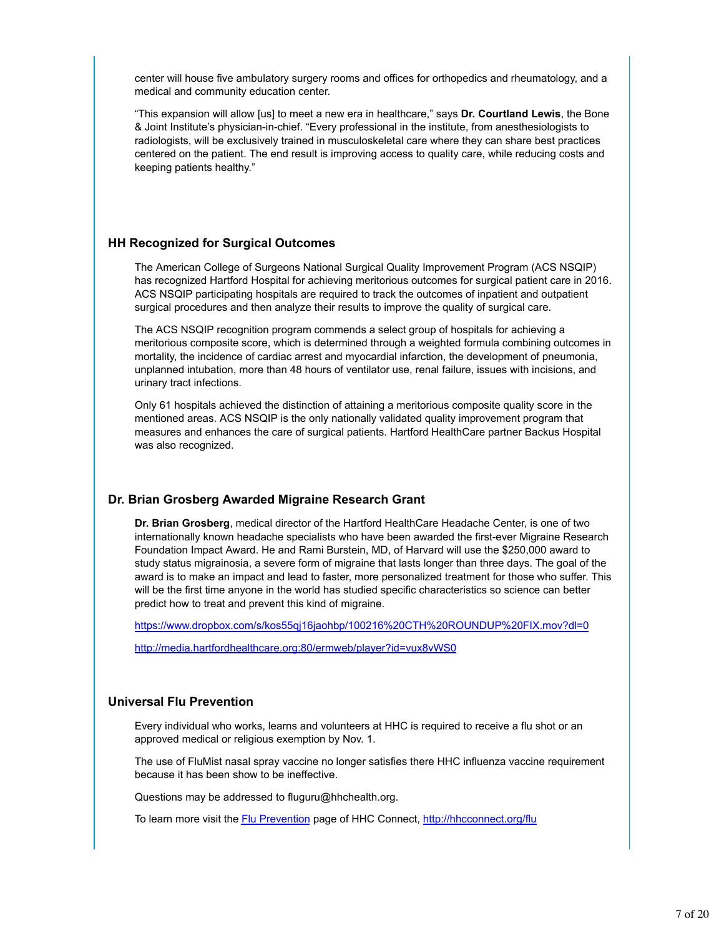center will house five ambulatory surgery rooms and offices for orthopedics and rheumatology, and a medical and community education center.

"This expansion will allow [us] to meet a new era in healthcare," says **Dr. Courtland Lewis**, the Bone & Joint Institute's physician-in-chief. "Every professional in the institute, from anesthesiologists to radiologists, will be exclusively trained in musculoskeletal care where they can share best practices centered on the patient. The end result is improving access to quality care, while reducing costs and keeping patients healthy."

#### **HH Recognized for Surgical Outcomes**

The American College of Surgeons National Surgical Quality Improvement Program (ACS NSQIP) has recognized Hartford Hospital for achieving meritorious outcomes for surgical patient care in 2016. ACS NSQIP participating hospitals are required to track the outcomes of inpatient and outpatient surgical procedures and then analyze their results to improve the quality of surgical care.

The ACS NSQIP recognition program commends a select group of hospitals for achieving a meritorious composite score, which is determined through a weighted formula combining outcomes in mortality, the incidence of cardiac arrest and myocardial infarction, the development of pneumonia, unplanned intubation, more than 48 hours of ventilator use, renal failure, issues with incisions, and urinary tract infections.

Only 61 hospitals achieved the distinction of attaining a meritorious composite quality score in the mentioned areas. ACS NSQIP is the only nationally validated quality improvement program that measures and enhances the care of surgical patients. Hartford HealthCare partner Backus Hospital was also recognized.

#### **Dr. Brian Grosberg Awarded Migraine Research Grant**

**Dr. Brian Grosberg**, medical director of the Hartford HealthCare Headache Center, is one of two internationally known headache specialists who have been awarded the first-ever Migraine Research Foundation Impact Award. He and Rami Burstein, MD, of Harvard will use the \$250,000 award to study status migrainosia, a severe form of migraine that lasts longer than three days. The goal of the award is to make an impact and lead to faster, more personalized treatment for those who suffer. This will be the first time anyone in the world has studied specific characteristics so science can better predict how to treat and prevent this kind of migraine.

https://www.dropbox.com/s/kos55qj16jaohbp/100216%20CTH%20ROUNDUP%20FIX.mov?dl=0

http://media.hartfordhealthcare.org:80/ermweb/player?id=vux8vWS0

#### **Universal Flu Prevention**

Every individual who works, learns and volunteers at HHC is required to receive a flu shot or an approved medical or religious exemption by Nov. 1.

The use of FluMist nasal spray vaccine no longer satisfies there HHC influenza vaccine requirement because it has been show to be ineffective.

Questions may be addressed to fluguru@hhchealth.org.

To learn more visit the Flu Prevention page of HHC Connect, http://hhcconnect.org/flu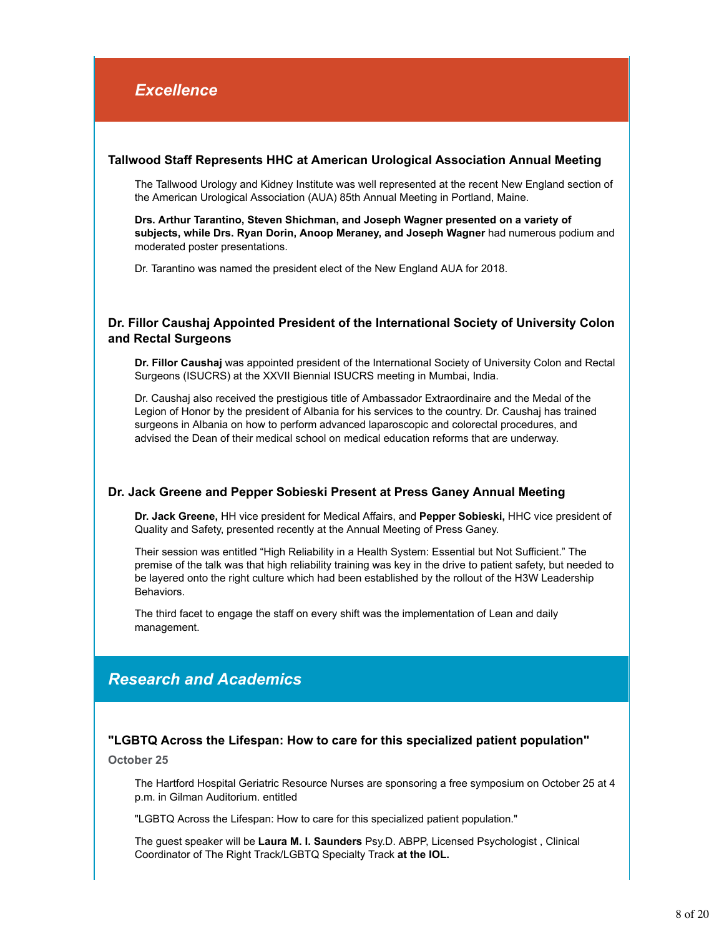#### **Tallwood Staff Represents HHC at American Urological Association Annual Meeting**

The Tallwood Urology and Kidney Institute was well represented at the recent New England section of the American Urological Association (AUA) 85th Annual Meeting in Portland, Maine.

**Drs. Arthur Tarantino, Steven Shichman, and Joseph Wagner presented on a variety of subjects, while Drs. Ryan Dorin, Anoop Meraney, and Joseph Wagner** had numerous podium and moderated poster presentations.

Dr. Tarantino was named the president elect of the New England AUA for 2018.

#### **Dr. Fillor Caushaj Appointed President of the International Society of University Colon and Rectal Surgeons**

**Dr. Fillor Caushaj** was appointed president of the International Society of University Colon and Rectal Surgeons (ISUCRS) at the XXVII Biennial ISUCRS meeting in Mumbai, India.

Dr. Caushaj also received the prestigious title of Ambassador Extraordinaire and the Medal of the Legion of Honor by the president of Albania for his services to the country. Dr. Caushaj has trained surgeons in Albania on how to perform advanced laparoscopic and colorectal procedures, and advised the Dean of their medical school on medical education reforms that are underway.

#### **Dr. Jack Greene and Pepper Sobieski Present at Press Ganey Annual Meeting**

**Dr. Jack Greene,** HH vice president for Medical Affairs, and **Pepper Sobieski,** HHC vice president of Quality and Safety, presented recently at the Annual Meeting of Press Ganey.

Their session was entitled "High Reliability in a Health System: Essential but Not Sufficient." The premise of the talk was that high reliability training was key in the drive to patient safety, but needed to be layered onto the right culture which had been established by the rollout of the H3W Leadership Behaviors.

The third facet to engage the staff on every shift was the implementation of Lean and daily management.

## *Research and Academics*

#### **"LGBTQ Across the Lifespan: How to care for this specialized patient population"**

**October 25**

The Hartford Hospital Geriatric Resource Nurses are sponsoring a free symposium on October 25 at 4 p.m. in Gilman Auditorium. entitled

"LGBTQ Across the Lifespan: How to care for this specialized patient population."

The guest speaker will be **Laura M. I. Saunders** Psy.D. ABPP, Licensed Psychologist , Clinical Coordinator of The Right Track/LGBTQ Specialty Track **at the IOL.**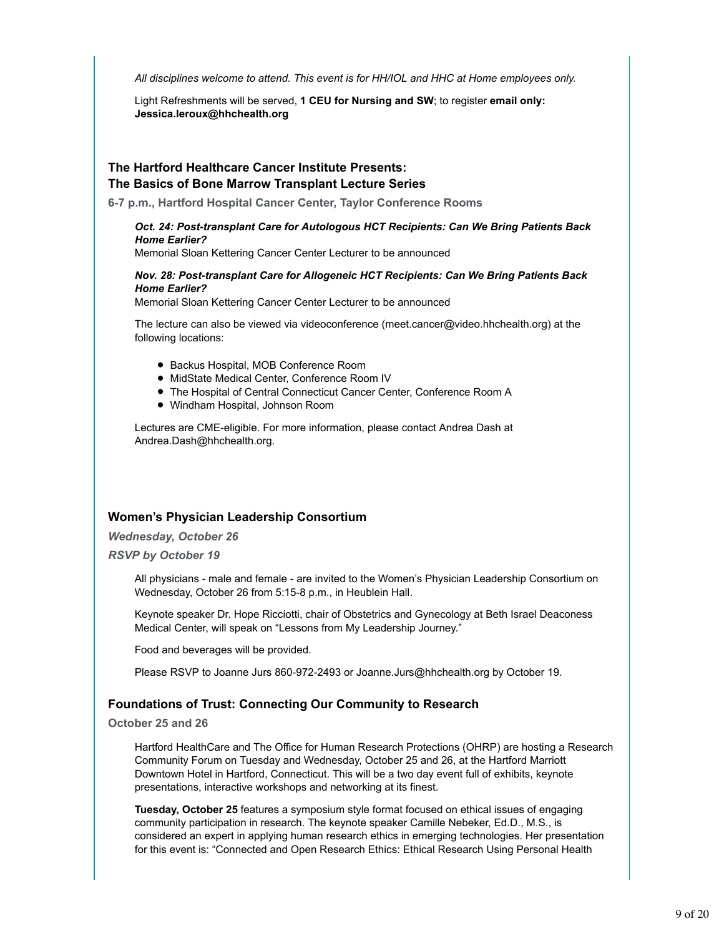*All disciplines welcome to attend. This event is for HH/IOL and HHC at Home employees only.*

Light Refreshments will be served, **1 CEU for Nursing and SW**; to register **email only: Jessica.leroux@hhchealth.org**

#### **The Hartford Healthcare Cancer Institute Presents: The Basics of Bone Marrow Transplant Lecture Series**

**6-7 p.m., Hartford Hospital Cancer Center, Taylor Conference Rooms**

#### *Oct. 24: Post-transplant Care for Autologous HCT Recipients: Can We Bring Patients Back Home Earlier?*

Memorial Sloan Kettering Cancer Center Lecturer to be announced

#### *Nov. 28: Post-transplant Care for Allogeneic HCT Recipients: Can We Bring Patients Back Home Earlier?*

Memorial Sloan Kettering Cancer Center Lecturer to be announced

The lecture can also be viewed via videoconference (meet.cancer@video.hhchealth.org) at the following locations:

- Backus Hospital, MOB Conference Room
- MidState Medical Center, Conference Room IV
- The Hospital of Central Connecticut Cancer Center, Conference Room A
- Windham Hospital, Johnson Room

Lectures are CME-eligible. For more information, please contact Andrea Dash at Andrea.Dash@hhchealth.org.

### **Women's Physician Leadership Consortium**

*Wednesday, October 26*

*RSVP by October 19*

All physicians - male and female - are invited to the Women's Physician Leadership Consortium on Wednesday, October 26 from 5:15-8 p.m., in Heublein Hall.

Keynote speaker Dr. Hope Ricciotti, chair of Obstetrics and Gynecology at Beth Israel Deaconess Medical Center, will speak on "Lessons from My Leadership Journey."

Food and beverages will be provided.

Please RSVP to Joanne Jurs 860-972-2493 or Joanne.Jurs@hhchealth.org by October 19.

#### **Foundations of Trust: Connecting Our Community to Research**

#### **October 25 and 26**

Hartford HealthCare and The Office for Human Research Protections (OHRP) are hosting a Research Community Forum on Tuesday and Wednesday, October 25 and 26, at the Hartford Marriott Downtown Hotel in Hartford, Connecticut. This will be a two day event full of exhibits, keynote presentations, interactive workshops and networking at its finest.

**Tuesday, October 25** features a symposium style format focused on ethical issues of engaging community participation in research. The keynote speaker Camille Nebeker, Ed.D., M.S., is considered an expert in applying human research ethics in emerging technologies. Her presentation for this event is: "Connected and Open Research Ethics: Ethical Research Using Personal Health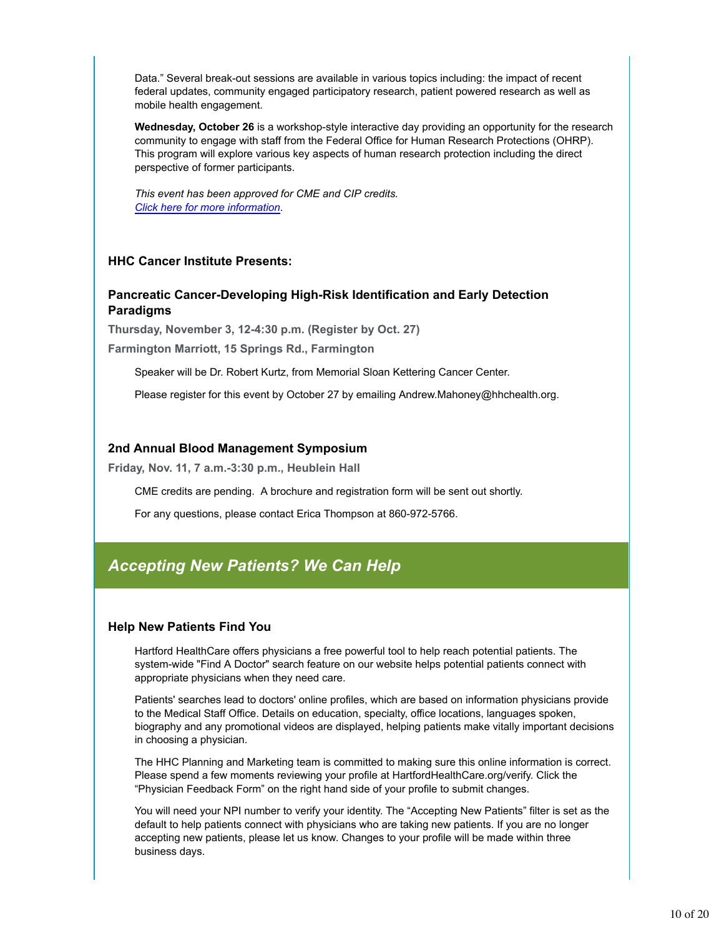Data." Several break-out sessions are available in various topics including: the impact of recent federal updates, community engaged participatory research, patient powered research as well as mobile health engagement.

**Wednesday, October 26** is a workshop-style interactive day providing an opportunity for the research community to engage with staff from the Federal Office for Human Research Protections (OHRP). This program will explore various key aspects of human research protection including the direct perspective of former participants.

*This event has been approved for CME and CIP credits. Click here for more information*.

#### **HHC Cancer Institute Presents:**

#### **Pancreatic Cancer-Developing High-Risk Identification and Early Detection Paradigms**

**Thursday, November 3, 12-4:30 p.m. (Register by Oct. 27) Farmington Marriott, 15 Springs Rd., Farmington**

Speaker will be Dr. Robert Kurtz, from Memorial Sloan Kettering Cancer Center.

Please register for this event by October 27 by emailing Andrew.Mahoney@hhchealth.org.

#### **2nd Annual Blood Management Symposium**

**Friday, Nov. 11, 7 a.m.-3:30 p.m., Heublein Hall**

CME credits are pending. A brochure and registration form will be sent out shortly.

For any questions, please contact Erica Thompson at 860-972-5766.

## *Accepting New Patients? We Can Help*

#### **Help New Patients Find You**

Hartford HealthCare offers physicians a free powerful tool to help reach potential patients. The system-wide "Find A Doctor" search feature on our website helps potential patients connect with appropriate physicians when they need care.

Patients' searches lead to doctors' online profiles, which are based on information physicians provide to the Medical Staff Office. Details on education, specialty, office locations, languages spoken, biography and any promotional videos are displayed, helping patients make vitally important decisions in choosing a physician.

The HHC Planning and Marketing team is committed to making sure this online information is correct. Please spend a few moments reviewing your profile at HartfordHealthCare.org/verify. Click the "Physician Feedback Form" on the right hand side of your profile to submit changes.

You will need your NPI number to verify your identity. The "Accepting New Patients" filter is set as the default to help patients connect with physicians who are taking new patients. If you are no longer accepting new patients, please let us know. Changes to your profile will be made within three business days.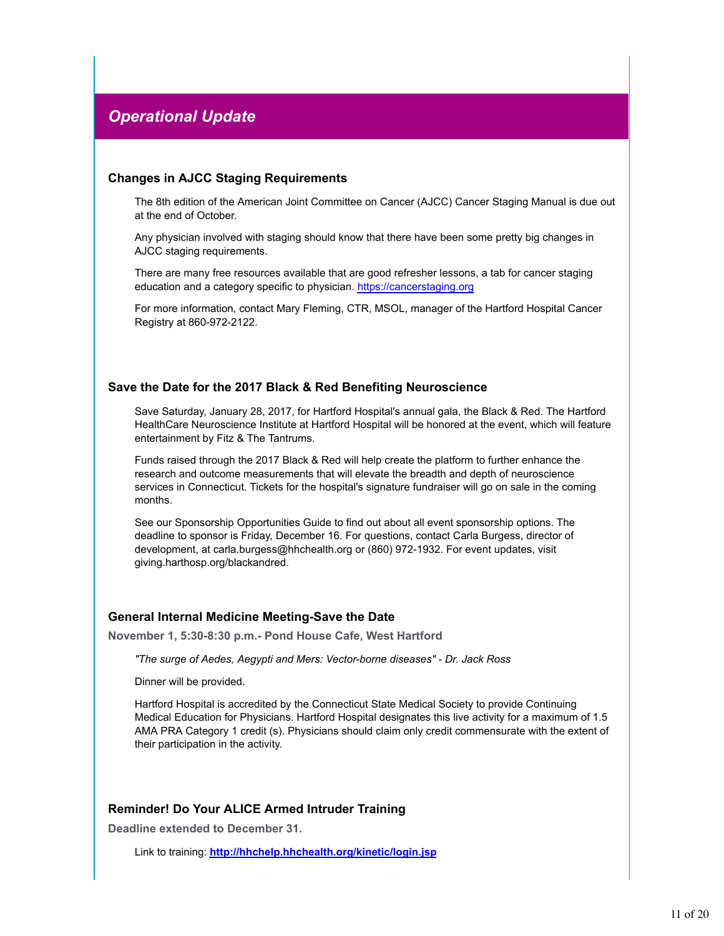## *Operational Update*

#### **Changes in AJCC Staging Requirements**

The 8th edition of the American Joint Committee on Cancer (AJCC) Cancer Staging Manual is due out at the end of October.

Any physician involved with staging should know that there have been some pretty big changes in AJCC staging requirements.

There are many free resources available that are good refresher lessons, a tab for cancer staging education and a category specific to physician. https://cancerstaging.org

For more information, contact Mary Fleming, CTR, MSOL, manager of the Hartford Hospital Cancer Registry at 860-972-2122.

#### **Save the Date for the 2017 Black & Red Benefiting Neuroscience**

Save Saturday, January 28, 2017, for Hartford Hospital's annual gala, the Black & Red. The Hartford HealthCare Neuroscience Institute at Hartford Hospital will be honored at the event, which will feature entertainment by Fitz & The Tantrums.

Funds raised through the 2017 Black & Red will help create the platform to further enhance the research and outcome measurements that will elevate the breadth and depth of neuroscience services in Connecticut. Tickets for the hospital's signature fundraiser will go on sale in the coming months.

See our Sponsorship Opportunities Guide to find out about all event sponsorship options. The deadline to sponsor is Friday, December 16. For questions, contact Carla Burgess, director of development, at carla.burgess@hhchealth.org or (860) 972-1932. For event updates, visit giving.harthosp.org/blackandred.

#### **General Internal Medicine Meeting-Save the Date**

**November 1, 5:30-8:30 p.m.- Pond House Cafe, West Hartford**

*"The surge of Aedes, Aegypti and Mers: Vector-borne diseases" - Dr. Jack Ross*

Dinner will be provided.

Hartford Hospital is accredited by the Connecticut State Medical Society to provide Continuing Medical Education for Physicians. Hartford Hospital designates this live activity for a maximum of 1.5 AMA PRA Category 1 credit (s). Physicians should claim only credit commensurate with the extent of their participation in the activity.

#### **Reminder! Do Your ALICE Armed Intruder Training**

**Deadline extended to December 31.**

Link to training: **http://hhchelp.hhchealth.org/kinetic/login.jsp**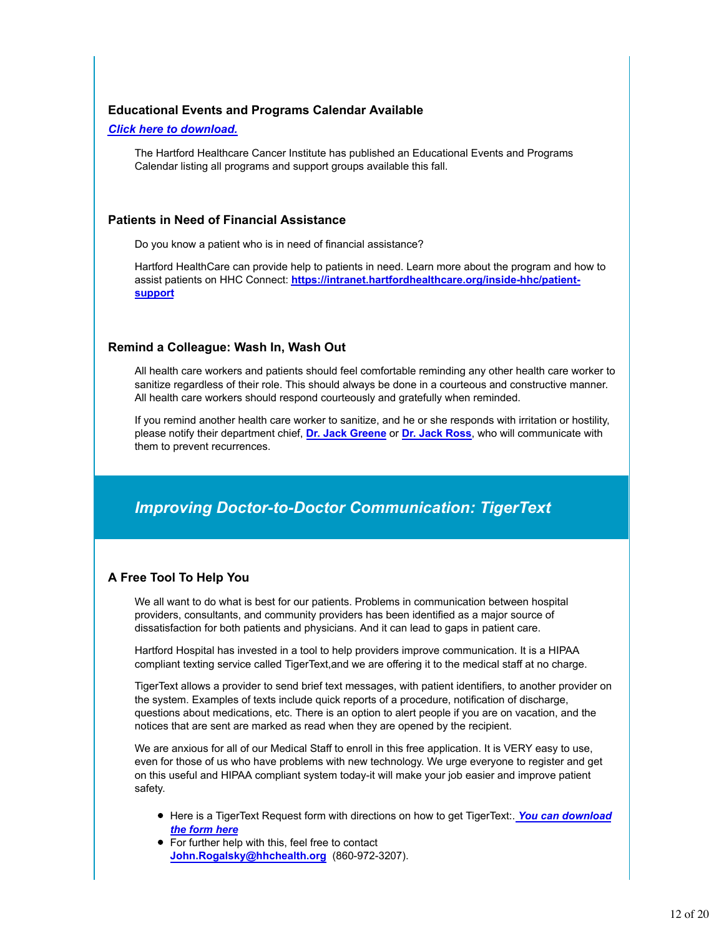#### **Educational Events and Programs Calendar Available**

#### *Click here to download.*

The Hartford Healthcare Cancer Institute has published an Educational Events and Programs Calendar listing all programs and support groups available this fall.

#### **Patients in Need of Financial Assistance**

Do you know a patient who is in need of financial assistance?

Hartford HealthCare can provide help to patients in need. Learn more about the program and how to assist patients on HHC Connect: **https://intranet.hartfordhealthcare.org/inside-hhc/patientsupport**

#### **Remind a Colleague: Wash In, Wash Out**

All health care workers and patients should feel comfortable reminding any other health care worker to sanitize regardless of their role. This should always be done in a courteous and constructive manner. All health care workers should respond courteously and gratefully when reminded.

If you remind another health care worker to sanitize, and he or she responds with irritation or hostility, please notify their department chief, **Dr. Jack Greene** or **Dr. Jack Ross**, who will communicate with them to prevent recurrences.

## *Improving Doctor-to-Doctor Communication: TigerText*

### **A Free Tool To Help You**

We all want to do what is best for our patients. Problems in communication between hospital providers, consultants, and community providers has been identified as a major source of dissatisfaction for both patients and physicians. And it can lead to gaps in patient care.

Hartford Hospital has invested in a tool to help providers improve communication. It is a HIPAA compliant texting service called TigerText,and we are offering it to the medical staff at no charge.

TigerText allows a provider to send brief text messages, with patient identifiers, to another provider on the system. Examples of texts include quick reports of a procedure, notification of discharge, questions about medications, etc. There is an option to alert people if you are on vacation, and the notices that are sent are marked as read when they are opened by the recipient.

We are anxious for all of our Medical Staff to enroll in this free application. It is VERY easy to use, even for those of us who have problems with new technology. We urge everyone to register and get on this useful and HIPAA compliant system today-it will make your job easier and improve patient safety.

- **Here is a TigerText Request form with directions on how to get TigerText:. You can download** *the form here*
- For further help with this, feel free to contact **John.Rogalsky@hhchealth.org** (860-972-3207).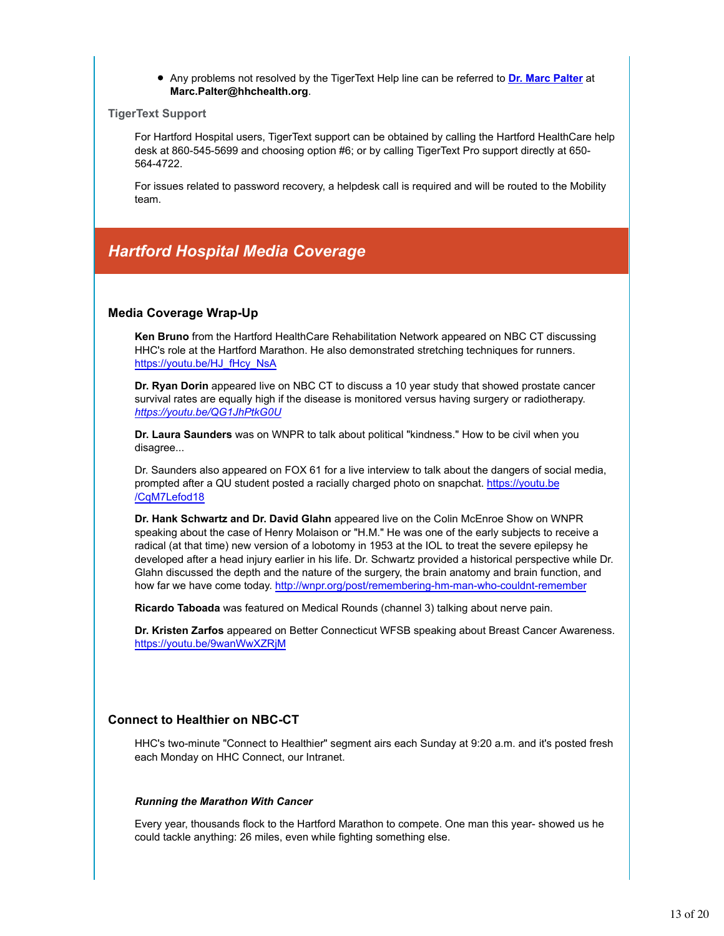#### Any problems not resolved by the TigerText Help line can be referred to **Dr. Marc Palter** at **Marc.Palter@hhchealth.org**.

#### **TigerText Support**

For Hartford Hospital users, TigerText support can be obtained by calling the Hartford HealthCare help desk at 860-545-5699 and choosing option #6; or by calling TigerText Pro support directly at 650- 564-4722.

For issues related to password recovery, a helpdesk call is required and will be routed to the Mobility team.

## *Hartford Hospital Media Coverage*

#### **Media Coverage Wrap-Up**

**Ken Bruno** from the Hartford HealthCare Rehabilitation Network appeared on NBC CT discussing HHC's role at the Hartford Marathon. He also demonstrated stretching techniques for runners. https://youtu.be/HJ\_fHcy\_NsA

**Dr. Ryan Dorin** appeared live on NBC CT to discuss a 10 year study that showed prostate cancer survival rates are equally high if the disease is monitored versus having surgery or radiotherapy. *https://youtu.be/QG1JhPtkG0U*

**Dr. Laura Saunders** was on WNPR to talk about political "kindness." How to be civil when you disagree...

Dr. Saunders also appeared on FOX 61 for a live interview to talk about the dangers of social media, prompted after a QU student posted a racially charged photo on snapchat. https://youtu.be /CqM7Lefod18

**Dr. Hank Schwartz and Dr. David Glahn** appeared live on the Colin McEnroe Show on WNPR speaking about the case of Henry Molaison or "H.M." He was one of the early subjects to receive a radical (at that time) new version of a lobotomy in 1953 at the IOL to treat the severe epilepsy he developed after a head injury earlier in his life. Dr. Schwartz provided a historical perspective while Dr. Glahn discussed the depth and the nature of the surgery, the brain anatomy and brain function, and how far we have come today. http://wnpr.org/post/remembering-hm-man-who-couldnt-remember

**Ricardo Taboada** was featured on Medical Rounds (channel 3) talking about nerve pain.

**Dr. Kristen Zarfos** appeared on Better Connecticut WFSB speaking about Breast Cancer Awareness. https://youtu.be/9wanWwXZRjM

#### **Connect to Healthier on NBC-CT**

HHC's two-minute "Connect to Healthier" segment airs each Sunday at 9:20 a.m. and it's posted fresh each Monday on HHC Connect, our Intranet.

#### *Running the Marathon With Cancer*

Every year, thousands flock to the Hartford Marathon to compete. One man this year- showed us he could tackle anything: 26 miles, even while fighting something else.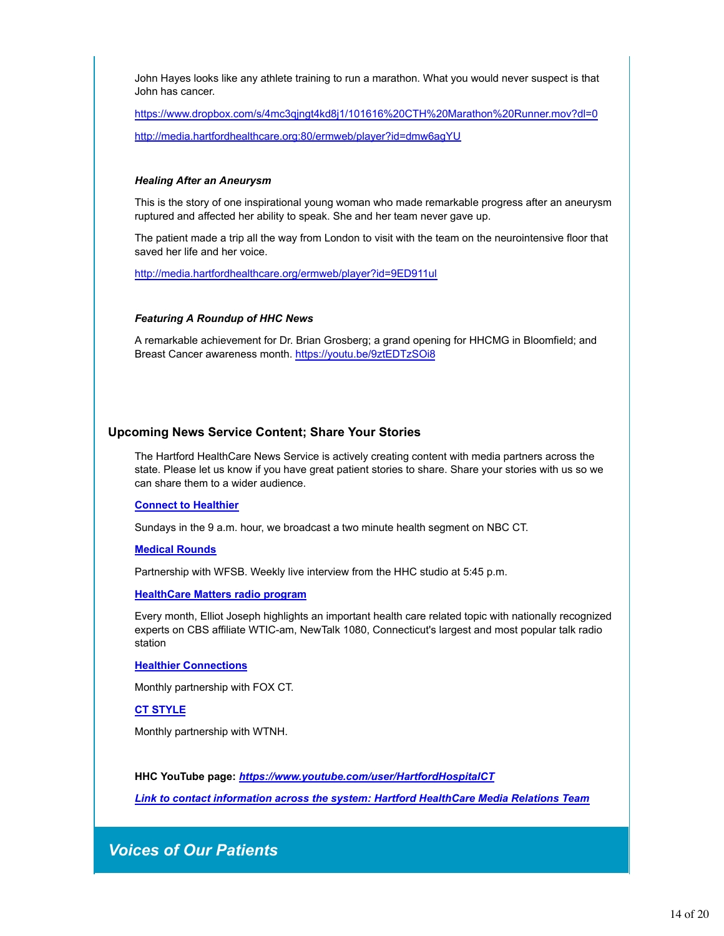John Hayes looks like any athlete training to run a marathon. What you would never suspect is that John has cancer.

https://www.dropbox.com/s/4mc3qjngt4kd8j1/101616%20CTH%20Marathon%20Runner.mov?dl=0 http://media.hartfordhealthcare.org:80/ermweb/player?id=dmw6agYU

#### *Healing After an Aneurysm*

This is the story of one inspirational young woman who made remarkable progress after an aneurysm ruptured and affected her ability to speak. She and her team never gave up.

The patient made a trip all the way from London to visit with the team on the neurointensive floor that saved her life and her voice.

http://media.hartfordhealthcare.org/ermweb/player?id=9ED911ul

#### *Featuring A Roundup of HHC News*

A remarkable achievement for Dr. Brian Grosberg; a grand opening for HHCMG in Bloomfield; and Breast Cancer awareness month. https://youtu.be/9ztEDTzSOi8

#### **Upcoming News Service Content; Share Your Stories**

The Hartford HealthCare News Service is actively creating content with media partners across the state. Please let us know if you have great patient stories to share. Share your stories with us so we can share them to a wider audience.

#### **Connect to Healthier**

Sundays in the 9 a.m. hour, we broadcast a two minute health segment on NBC CT.

#### **Medical Rounds**

Partnership with WFSB. Weekly live interview from the HHC studio at 5:45 p.m.

#### **HealthCare Matters radio program**

Every month, Elliot Joseph highlights an important health care related topic with nationally recognized experts on CBS affiliate WTIC-am, NewTalk 1080, Connecticut's largest and most popular talk radio station

#### **Healthier Connections**

Monthly partnership with FOX CT.

#### **CT STYLE**

Monthly partnership with WTNH.

**HHC YouTube page:** *https://www.youtube.com/user/HartfordHospitalCT*

*Link to contact information across the system: Hartford HealthCare Media Relations Team*

## *Voices of Our Patients*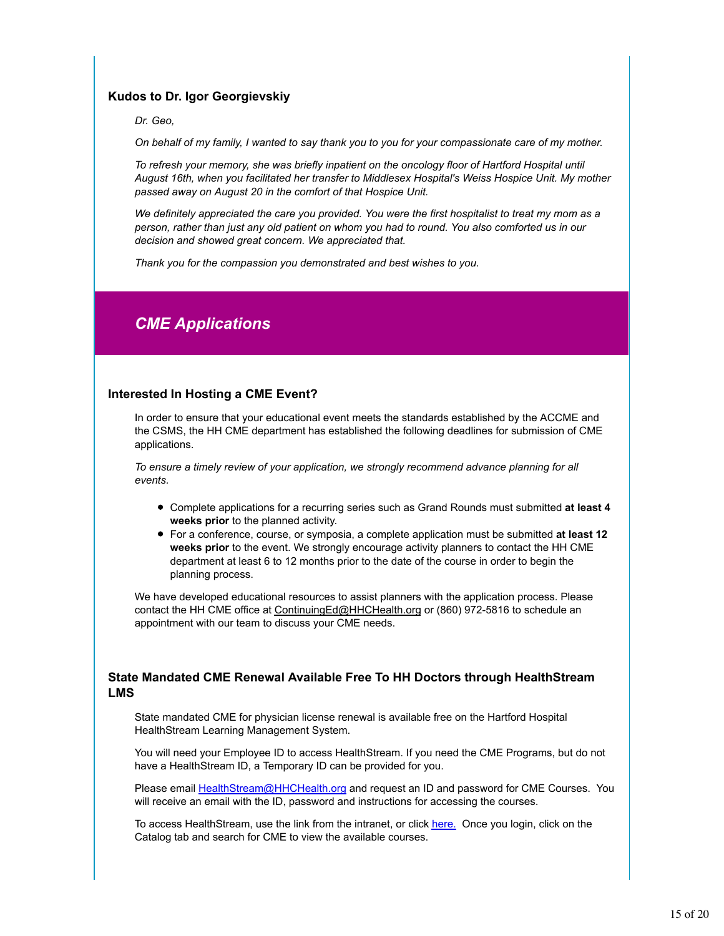#### **Kudos to Dr. Igor Georgievskiy**

*Dr. Geo,*

*On behalf of my family, I wanted to say thank you to you for your compassionate care of my mother.*

*To refresh your memory, she was briefly inpatient on the oncology floor of Hartford Hospital until August 16th, when you facilitated her transfer to Middlesex Hospital's Weiss Hospice Unit. My mother passed away on August 20 in the comfort of that Hospice Unit.*

*We definitely appreciated the care you provided. You were the first hospitalist to treat my mom as a person, rather than just any old patient on whom you had to round. You also comforted us in our decision and showed great concern. We appreciated that.*

*Thank you for the compassion you demonstrated and best wishes to you.*

## *CME Applications*

#### **Interested In Hosting a CME Event?**

In order to ensure that your educational event meets the standards established by the ACCME and the CSMS, the HH CME department has established the following deadlines for submission of CME applications.

*To ensure a timely review of your application, we strongly recommend advance planning for all events.* 

- Complete applications for a recurring series such as Grand Rounds must submitted **at least 4 weeks prior** to the planned activity.
- For a conference, course, or symposia, a complete application must be submitted **at least 12 weeks prior** to the event. We strongly encourage activity planners to contact the HH CME department at least 6 to 12 months prior to the date of the course in order to begin the planning process.

We have developed educational resources to assist planners with the application process. Please contact the HH CME office at ContinuingEd@HHCHealth.org or (860) 972-5816 to schedule an appointment with our team to discuss your CME needs.

#### **State Mandated CME Renewal Available Free To HH Doctors through HealthStream LMS**

State mandated CME for physician license renewal is available free on the Hartford Hospital HealthStream Learning Management System.

You will need your Employee ID to access HealthStream. If you need the CME Programs, but do not have a HealthStream ID, a Temporary ID can be provided for you.

Please email HealthStream@HHCHealth.org and request an ID and password for CME Courses. You will receive an email with the ID, password and instructions for accessing the courses.

To access HealthStream, use the link from the intranet, or click here. Once you login, click on the Catalog tab and search for CME to view the available courses.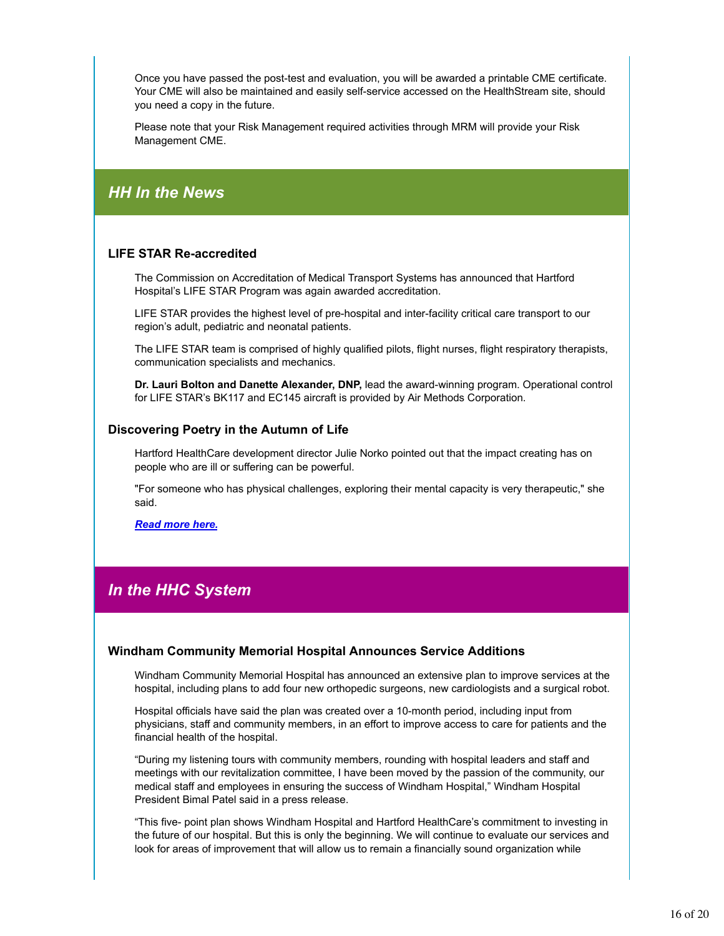Once you have passed the post-test and evaluation, you will be awarded a printable CME certificate. Your CME will also be maintained and easily self-service accessed on the HealthStream site, should you need a copy in the future.

Please note that your Risk Management required activities through MRM will provide your Risk Management CME.

## *HH In the News*

#### **LIFE STAR Re-accredited**

The Commission on Accreditation of Medical Transport Systems has announced that Hartford Hospital's LIFE STAR Program was again awarded accreditation.

LIFE STAR provides the highest level of pre-hospital and inter-facility critical care transport to our region's adult, pediatric and neonatal patients.

The LIFE STAR team is comprised of highly qualified pilots, flight nurses, flight respiratory therapists, communication specialists and mechanics.

**Dr. Lauri Bolton and Danette Alexander, DNP,** lead the award-winning program. Operational control for LIFE STAR's BK117 and EC145 aircraft is provided by Air Methods Corporation.

#### **Discovering Poetry in the Autumn of Life**

Hartford HealthCare development director Julie Norko pointed out that the impact creating has on people who are ill or suffering can be powerful.

"For someone who has physical challenges, exploring their mental capacity is very therapeutic," she said.

*Read more here.*

## *In the HHC System*

#### **Windham Community Memorial Hospital Announces Service Additions**

Windham Community Memorial Hospital has announced an extensive plan to improve services at the hospital, including plans to add four new orthopedic surgeons, new cardiologists and a surgical robot.

Hospital officials have said the plan was created over a 10-month period, including input from physicians, staff and community members, in an effort to improve access to care for patients and the financial health of the hospital.

"During my listening tours with community members, rounding with hospital leaders and staff and meetings with our revitalization committee, I have been moved by the passion of the community, our medical staff and employees in ensuring the success of Windham Hospital," Windham Hospital President Bimal Patel said in a press release.

"This five- point plan shows Windham Hospital and Hartford HealthCare's commitment to investing in the future of our hospital. But this is only the beginning. We will continue to evaluate our services and look for areas of improvement that will allow us to remain a financially sound organization while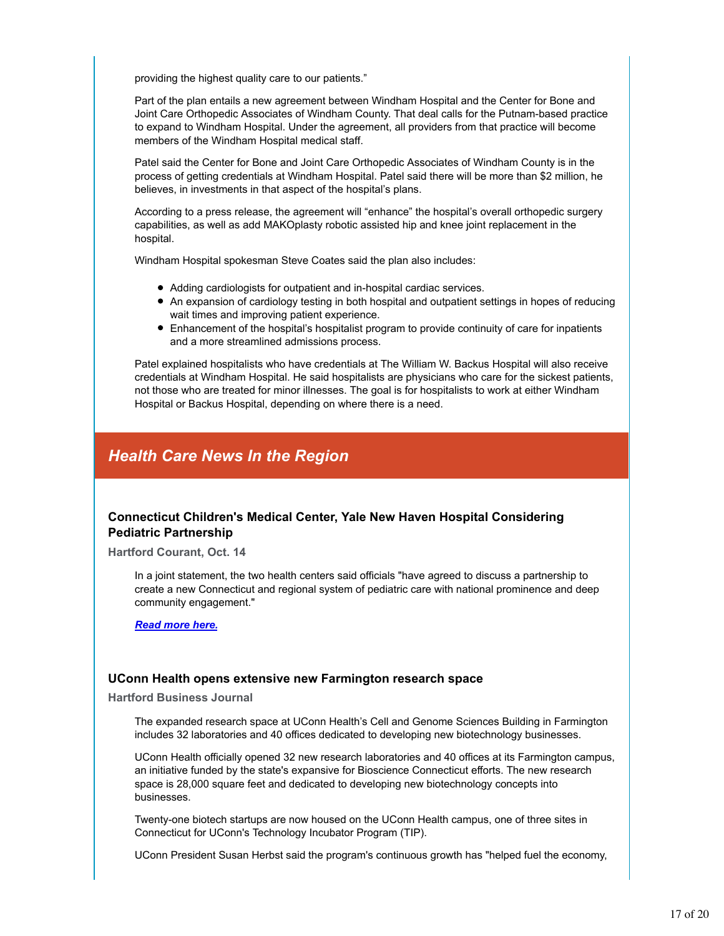providing the highest quality care to our patients."

Part of the plan entails a new agreement between Windham Hospital and the Center for Bone and Joint Care Orthopedic Associates of Windham County. That deal calls for the Putnam-based practice to expand to Windham Hospital. Under the agreement, all providers from that practice will become members of the Windham Hospital medical staff.

Patel said the Center for Bone and Joint Care Orthopedic Associates of Windham County is in the process of getting credentials at Windham Hospital. Patel said there will be more than \$2 million, he believes, in investments in that aspect of the hospital's plans.

According to a press release, the agreement will "enhance" the hospital's overall orthopedic surgery capabilities, as well as add MAKOplasty robotic assisted hip and knee joint replacement in the hospital.

Windham Hospital spokesman Steve Coates said the plan also includes:

- Adding cardiologists for outpatient and in-hospital cardiac services.
- An expansion of cardiology testing in both hospital and outpatient settings in hopes of reducing wait times and improving patient experience.
- Enhancement of the hospital's hospitalist program to provide continuity of care for inpatients and a more streamlined admissions process.

Patel explained hospitalists who have credentials at The William W. Backus Hospital will also receive credentials at Windham Hospital. He said hospitalists are physicians who care for the sickest patients, not those who are treated for minor illnesses. The goal is for hospitalists to work at either Windham Hospital or Backus Hospital, depending on where there is a need.

## *Health Care News In the Region*

#### **Connecticut Children's Medical Center, Yale New Haven Hospital Considering Pediatric Partnership**

**Hartford Courant, Oct. 14**

In a joint statement, the two health centers said officials "have agreed to discuss a partnership to create a new Connecticut and regional system of pediatric care with national prominence and deep community engagement."

*Read more here.*

#### **UConn Health opens extensive new Farmington research space**

**Hartford Business Journal**

The expanded research space at UConn Health's Cell and Genome Sciences Building in Farmington includes 32 laboratories and 40 offices dedicated to developing new biotechnology businesses.

UConn Health officially opened 32 new research laboratories and 40 offices at its Farmington campus, an initiative funded by the state's expansive for Bioscience Connecticut efforts. The new research space is 28,000 square feet and dedicated to developing new biotechnology concepts into businesses.

Twenty-one biotech startups are now housed on the UConn Health campus, one of three sites in Connecticut for UConn's Technology Incubator Program (TIP).

UConn President Susan Herbst said the program's continuous growth has "helped fuel the economy,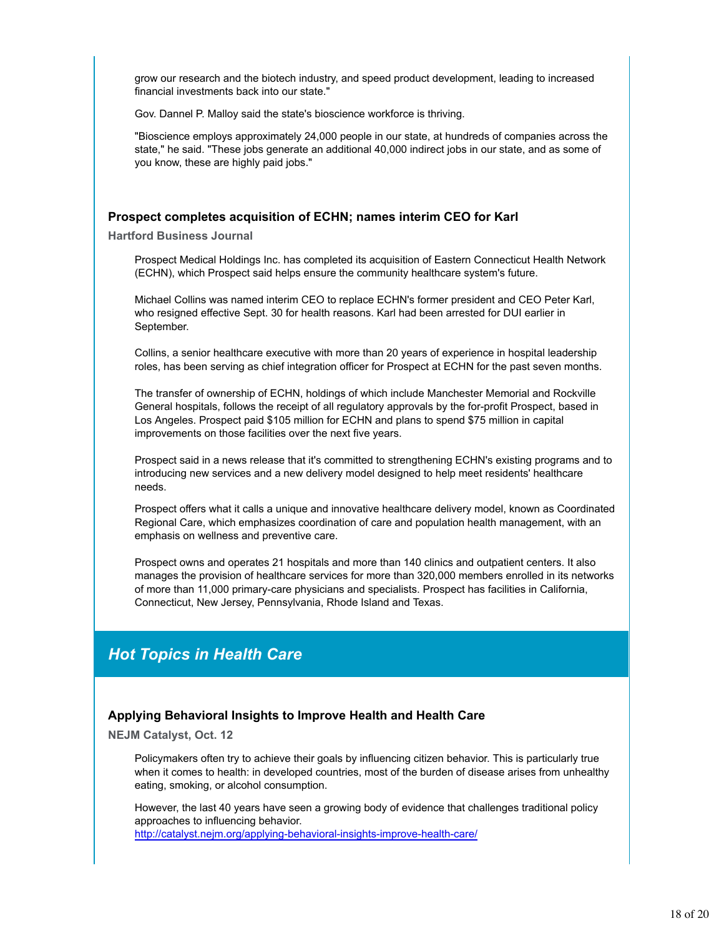grow our research and the biotech industry, and speed product development, leading to increased financial investments back into our state."

Gov. Dannel P. Malloy said the state's bioscience workforce is thriving.

"Bioscience employs approximately 24,000 people in our state, at hundreds of companies across the state," he said. "These jobs generate an additional 40,000 indirect jobs in our state, and as some of you know, these are highly paid jobs."

#### **Prospect completes acquisition of ECHN; names interim CEO for Karl**

**Hartford Business Journal**

Prospect Medical Holdings Inc. has completed its acquisition of Eastern Connecticut Health Network (ECHN), which Prospect said helps ensure the community healthcare system's future.

Michael Collins was named interim CEO to replace ECHN's former president and CEO Peter Karl, who resigned effective Sept. 30 for health reasons. Karl had been arrested for DUI earlier in September.

Collins, a senior healthcare executive with more than 20 years of experience in hospital leadership roles, has been serving as chief integration officer for Prospect at ECHN for the past seven months.

The transfer of ownership of ECHN, holdings of which include Manchester Memorial and Rockville General hospitals, follows the receipt of all regulatory approvals by the for-profit Prospect, based in Los Angeles. Prospect paid \$105 million for ECHN and plans to spend \$75 million in capital improvements on those facilities over the next five years.

Prospect said in a news release that it's committed to strengthening ECHN's existing programs and to introducing new services and a new delivery model designed to help meet residents' healthcare needs.

Prospect offers what it calls a unique and innovative healthcare delivery model, known as Coordinated Regional Care, which emphasizes coordination of care and population health management, with an emphasis on wellness and preventive care.

Prospect owns and operates 21 hospitals and more than 140 clinics and outpatient centers. It also manages the provision of healthcare services for more than 320,000 members enrolled in its networks of more than 11,000 primary-care physicians and specialists. Prospect has facilities in California, Connecticut, New Jersey, Pennsylvania, Rhode Island and Texas.

## *Hot Topics in Health Care*

#### **Applying Behavioral Insights to Improve Health and Health Care**

**NEJM Catalyst, Oct. 12**

Policymakers often try to achieve their goals by influencing citizen behavior. This is particularly true when it comes to health: in developed countries, most of the burden of disease arises from unhealthy eating, smoking, or alcohol consumption.

However, the last 40 years have seen a growing body of evidence that challenges traditional policy approaches to influencing behavior. http://catalyst.nejm.org/applying-behavioral-insights-improve-health-care/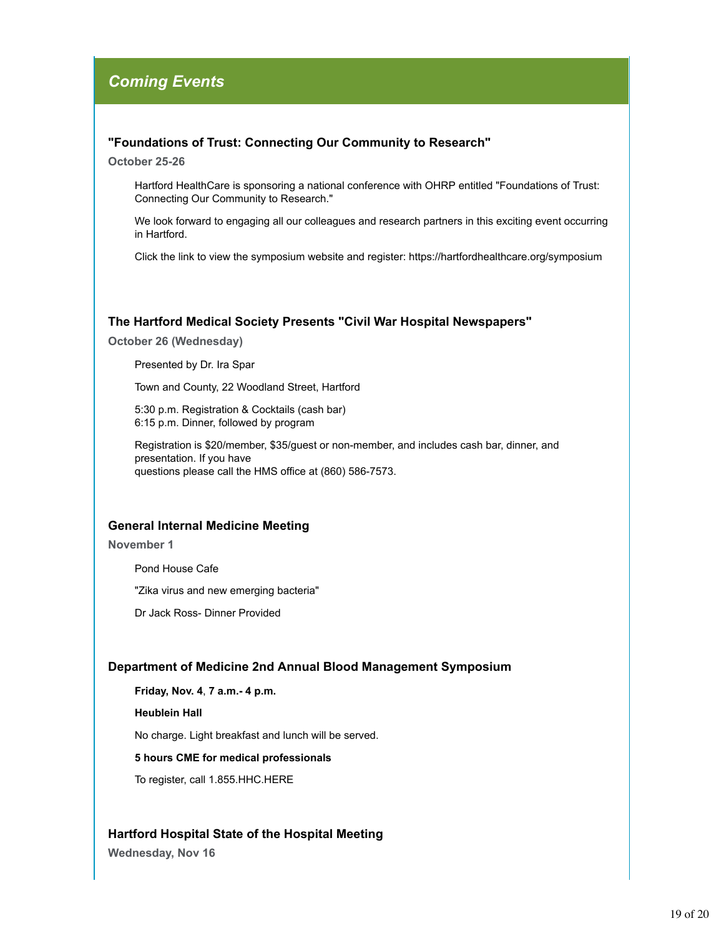## *Coming Events*

#### **"Foundations of Trust: Connecting Our Community to Research"**

**October 25-26**

Hartford HealthCare is sponsoring a national conference with OHRP entitled "Foundations of Trust: Connecting Our Community to Research."

We look forward to engaging all our colleagues and research partners in this exciting event occurring in Hartford.

Click the link to view the symposium website and register: https://hartfordhealthcare.org/symposium

#### **The Hartford Medical Society Presents "Civil War Hospital Newspapers"**

**October 26 (Wednesday)**

Presented by Dr. Ira Spar

Town and County, 22 Woodland Street, Hartford

5:30 p.m. Registration & Cocktails (cash bar) 6:15 p.m. Dinner, followed by program

Registration is \$20/member, \$35/guest or non-member, and includes cash bar, dinner, and presentation. If you have questions please call the HMS office at (860) 586-7573.

#### **General Internal Medicine Meeting**

**November 1**

Pond House Cafe

"Zika virus and new emerging bacteria"

Dr Jack Ross- Dinner Provided

#### **Department of Medicine 2nd Annual Blood Management Symposium**

**Friday, Nov. 4**, **7 a.m.- 4 p.m.**

**Heublein Hall**

No charge. Light breakfast and lunch will be served.

#### **5 hours CME for medical professionals**

To register, call 1.855.HHC.HERE

#### **Hartford Hospital State of the Hospital Meeting**

**Wednesday, Nov 16**